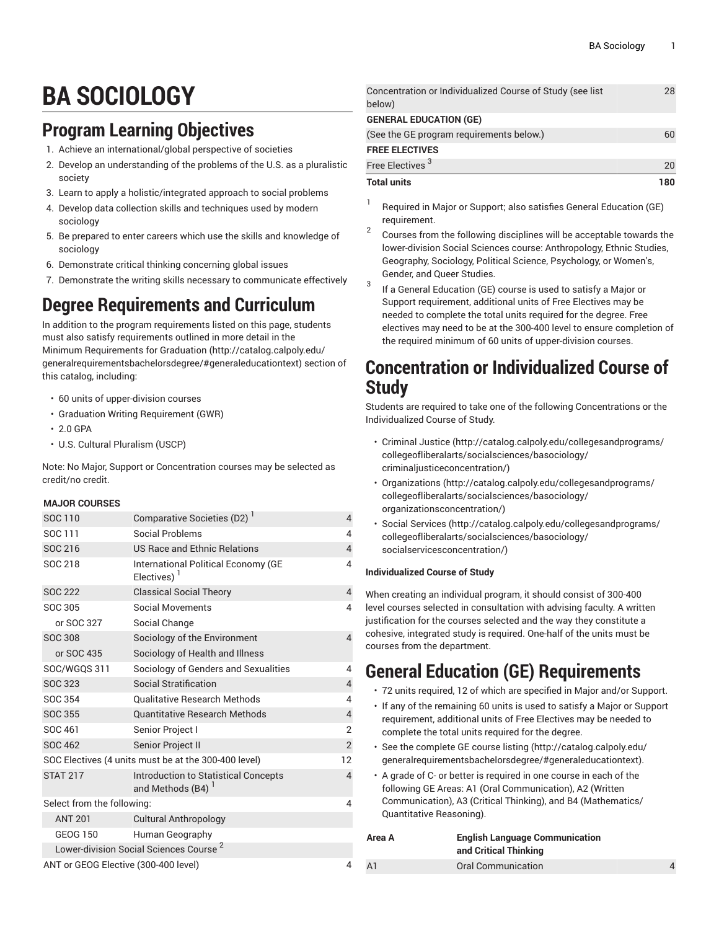# **BA SOCIOLOGY**

# **Program Learning Objectives**

- 1. Achieve an international/global perspective of societies
- 2. Develop an understanding of the problems of the U.S. as a pluralistic society
- 3. Learn to apply a holistic/integrated approach to social problems
- 4. Develop data collection skills and techniques used by modern sociology
- 5. Be prepared to enter careers which use the skills and knowledge of sociology
- 6. Demonstrate critical thinking concerning global issues
- 7. Demonstrate the writing skills necessary to communicate effectively

## **Degree Requirements and Curriculum**

In addition to the program requirements listed on this page, students must also satisfy requirements outlined in more detail in the Minimum [Requirements](http://catalog.calpoly.edu/generalrequirementsbachelorsdegree/#generaleducationtext) for Graduation ([http://catalog.calpoly.edu/](http://catalog.calpoly.edu/generalrequirementsbachelorsdegree/#generaleducationtext) [generalrequirementsbachelorsdegree/#generaleducationtext\)](http://catalog.calpoly.edu/generalrequirementsbachelorsdegree/#generaleducationtext) section of this catalog, including:

- 60 units of upper-division courses
- Graduation Writing Requirement (GWR)
- 2.0 GPA
- U.S. Cultural Pluralism (USCP)

Note: No Major, Support or Concentration courses may be selected as credit/no credit.

### **MAJOR COURSES**

| SOC 110                                              | Comparative Societies (D2) <sup>1</sup>                                      | $\overline{4}$ |
|------------------------------------------------------|------------------------------------------------------------------------------|----------------|
| SOC 111                                              | Social Problems                                                              | 4              |
| SOC 216                                              | US Race and Ethnic Relations                                                 | $\overline{4}$ |
| SOC 218                                              | International Political Economy (GE<br>Electives) <sup>1</sup>               | 4              |
| <b>SOC 222</b>                                       | <b>Classical Social Theory</b>                                               | $\overline{4}$ |
| SOC 305                                              | <b>Social Movements</b>                                                      | 4              |
| or SOC 327                                           | Social Change                                                                |                |
| <b>SOC 308</b>                                       | Sociology of the Environment                                                 | $\overline{4}$ |
| or SOC 435                                           | Sociology of Health and Illness                                              |                |
| SOC/WGQS 311                                         | Sociology of Genders and Sexualities                                         | 4              |
| <b>SOC 323</b>                                       | Social Stratification                                                        | $\overline{4}$ |
| SOC 354                                              | <b>Oualitative Research Methods</b>                                          | 4              |
| <b>SOC 355</b>                                       | <b>Quantitative Research Methods</b>                                         | $\overline{4}$ |
| SOC 461                                              | Senior Project I                                                             | 2              |
| <b>SOC 462</b>                                       | Senior Project II                                                            | $\overline{2}$ |
| SOC Electives (4 units must be at the 300-400 level) |                                                                              |                |
| <b>STAT 217</b>                                      | <b>Introduction to Statistical Concepts</b><br>and Methods (B4) <sup>1</sup> | $\overline{4}$ |
| Select from the following:                           |                                                                              | 4              |
| <b>ANT 201</b>                                       | <b>Cultural Anthropology</b>                                                 |                |
| <b>GEOG 150</b>                                      | Human Geography                                                              |                |
|                                                      | Lower-division Social Sciences Course <sup>2</sup>                           |                |
| ANT or GEOG Elective (300-400 level)                 |                                                                              |                |

| <b>Total units</b>                                        | 180 |
|-----------------------------------------------------------|-----|
| Free Electives <sup>3</sup>                               | 20  |
| <b>FREE ELECTIVES</b>                                     |     |
| (See the GE program requirements below.)                  | 60  |
| <b>GENERAL EDUCATION (GE)</b>                             |     |
| below)                                                    |     |
| Concentration or Individualized Course of Study (see list | 28  |

- 1 Required in Major or Support; also satisfies General Education (GE) requirement.
- 2 Courses from the following disciplines will be acceptable towards the lower-division Social Sciences course: Anthropology, Ethnic Studies, Geography, Sociology, Political Science, Psychology, or Women's, Gender, and Queer Studies.
- 3 If a General Education (GE) course is used to satisfy a Major or Support requirement, additional units of Free Electives may be needed to complete the total units required for the degree. Free electives may need to be at the 300-400 level to ensure completion of the required minimum of 60 units of upper-division courses.

### **Concentration or Individualized Course of Study**

Students are required to take one of the following Concentrations or the Individualized Course of Study.

- [Criminal Justice](http://catalog.calpoly.edu/collegesandprograms/collegeofliberalarts/socialsciences/basociology/criminaljusticeconcentration/) [\(http://catalog.calpoly.edu/collegesandprograms/](http://catalog.calpoly.edu/collegesandprograms/collegeofliberalarts/socialsciences/basociology/criminaljusticeconcentration/) [collegeofliberalarts/socialsciences/basociology/](http://catalog.calpoly.edu/collegesandprograms/collegeofliberalarts/socialsciences/basociology/criminaljusticeconcentration/) [criminaljusticeconcentration/\)](http://catalog.calpoly.edu/collegesandprograms/collegeofliberalarts/socialsciences/basociology/criminaljusticeconcentration/)
- [Organizations](http://catalog.calpoly.edu/collegesandprograms/collegeofliberalarts/socialsciences/basociology/organizationsconcentration/) [\(http://catalog.calpoly.edu/collegesandprograms/](http://catalog.calpoly.edu/collegesandprograms/collegeofliberalarts/socialsciences/basociology/organizationsconcentration/) [collegeofliberalarts/socialsciences/basociology/](http://catalog.calpoly.edu/collegesandprograms/collegeofliberalarts/socialsciences/basociology/organizationsconcentration/) [organizationsconcentration/\)](http://catalog.calpoly.edu/collegesandprograms/collegeofliberalarts/socialsciences/basociology/organizationsconcentration/)
- Social [Services](http://catalog.calpoly.edu/collegesandprograms/collegeofliberalarts/socialsciences/basociology/socialservicesconcentration/) ([http://catalog.calpoly.edu/collegesandprograms/](http://catalog.calpoly.edu/collegesandprograms/collegeofliberalarts/socialsciences/basociology/socialservicesconcentration/) [collegeofliberalarts/socialsciences/basociology/](http://catalog.calpoly.edu/collegesandprograms/collegeofliberalarts/socialsciences/basociology/socialservicesconcentration/) [socialservicesconcentration/](http://catalog.calpoly.edu/collegesandprograms/collegeofliberalarts/socialsciences/basociology/socialservicesconcentration/))

### **Individualized Course of Study**

When creating an individual program, it should consist of 300-400 level courses selected in consultation with advising faculty. A written justification for the courses selected and the way they constitute a cohesive, integrated study is required. One-half of the units must be courses from the department.

# **General Education (GE) Requirements**

- 72 units required, 12 of which are specified in Major and/or Support.
- If any of the remaining 60 units is used to satisfy a Major or Support requirement, additional units of Free Electives may be needed to complete the total units required for the degree.
- See the [complete GE course listing](http://catalog.calpoly.edu/generalrequirementsbachelorsdegree/#generaleducationtext) [\(http://catalog.calpoly.edu/](http://catalog.calpoly.edu/generalrequirementsbachelorsdegree/#generaleducationtext) [generalrequirementsbachelorsdegree/#generaleducationtext](http://catalog.calpoly.edu/generalrequirementsbachelorsdegree/#generaleducationtext)).
- A grade of C- or better is required in one course in each of the following GE Areas: A1 (Oral Communication), A2 (Written Communication), A3 (Critical Thinking), and B4 (Mathematics/ Quantitative Reasoning).

| Area A         | <b>English Language Communication</b><br>and Critical Thinking |  |
|----------------|----------------------------------------------------------------|--|
| A <sub>1</sub> | Oral Communication                                             |  |